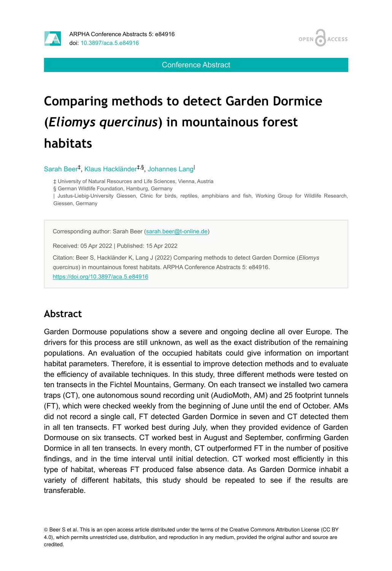

Conference Abstract

# **Comparing methods to detect Garden Dormice (***Eliomys quercinus***) in mountainous forest habitats**

Sarah Beer<sup>‡</sup>, Klaus Hackländer<sup>‡,§</sup>, Johannes Lang

‡ University of Natural Resources and Life Sciences, Vienna, Austria

§ German Wildlife Foundation, Hamburg, Germany

| Justus-Liebig-University Giessen, Clinic for birds, reptiles, amphibians and fish, Working Group for Wildlife Research, Giessen, Germany

Corresponding author: Sarah Beer [\(sarah.beer@t-online.de](mailto:sarah.beer@t-online.de))

Received: 05 Apr 2022 | Published: 15 Apr 2022

Citation: Beer S, Hackländer K, Lang J (2022) Comparing methods to detect Garden Dormice (*Eliomys quercinus*) in mountainous forest habitats. ARPHA Conference Abstracts 5: e84916. <https://doi.org/10.3897/aca.5.e84916>

#### **Abstract**

Garden Dormouse populations show a severe and ongoing decline all over Europe. The drivers for this process are still unknown, as well as the exact distribution of the remaining populations. An evaluation of the occupied habitats could give information on important habitat parameters. Therefore, it is essential to improve detection methods and to evaluate the efficiency of available techniques. In this study, three different methods were tested on ten transects in the Fichtel Mountains, Germany. On each transect we installed two camera traps (CT), one autonomous sound recording unit (AudioMoth, AM) and 25 footprint tunnels (FT), which were checked weekly from the beginning of June until the end of October. AMs did not record a single call, FT detected Garden Dormice in seven and CT detected them in all ten transects. FT worked best during July, when they provided evidence of Garden Dormouse on six transects. CT worked best in August and September, confirming Garden Dormice in all ten transects. In every month, CT outperformed FT in the number of positive findings, and in the time interval until initial detection. CT worked most efficiently in this type of habitat, whereas FT produced false absence data. As Garden Dormice inhabit a variety of different habitats, this study should be repeated to see if the results are transferable.

© Beer S et al. This is an open access article distributed under the terms of the Creative Commons Attribution License (CC BY 4.0), which permits unrestricted use, distribution, and reproduction in any medium, provided the original author and source are credited.